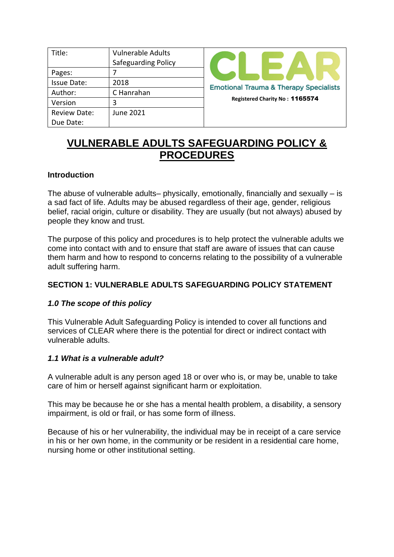| Title:              | <b>Vulnerable Adults</b>   |
|---------------------|----------------------------|
|                     | <b>Safeguarding Policy</b> |
| Pages:              |                            |
| <b>Issue Date:</b>  | 2018                       |
| Author:             | C Hanrahan                 |
| Version             | 3                          |
| <b>Review Date:</b> | <b>June 2021</b>           |
| Due Date:           |                            |



# **VULNERABLE ADULTS SAFEGUARDING POLICY & PROCEDURES**

#### **Introduction**

The abuse of vulnerable adults– physically, emotionally, financially and sexually – is a sad fact of life. Adults may be abused regardless of their age, gender, religious belief, racial origin, culture or disability. They are usually (but not always) abused by people they know and trust.

The purpose of this policy and procedures is to help protect the vulnerable adults we come into contact with and to ensure that staff are aware of issues that can cause them harm and how to respond to concerns relating to the possibility of a vulnerable adult suffering harm.

## **SECTION 1: VULNERABLE ADULTS SAFEGUARDING POLICY STATEMENT**

## *1.0 The scope of this policy*

This Vulnerable Adult Safeguarding Policy is intended to cover all functions and services of CLEAR where there is the potential for direct or indirect contact with vulnerable adults.

#### *1.1 What is a vulnerable adult?*

A vulnerable adult is any person aged 18 or over who is, or may be, unable to take care of him or herself against significant harm or exploitation.

This may be because he or she has a mental health problem, a disability, a sensory impairment, is old or frail, or has some form of illness.

Because of his or her vulnerability, the individual may be in receipt of a care service in his or her own home, in the community or be resident in a residential care home, nursing home or other institutional setting.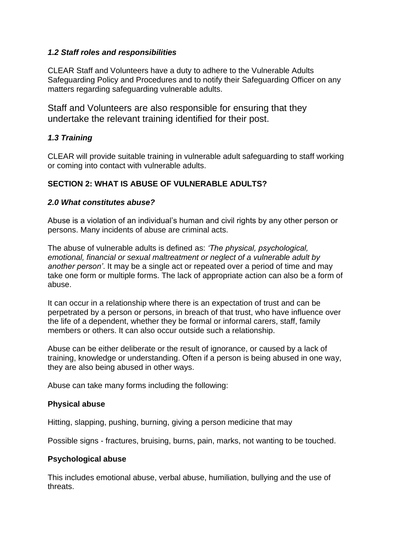#### *1.2 Staff roles and responsibilities*

CLEAR Staff and Volunteers have a duty to adhere to the Vulnerable Adults Safeguarding Policy and Procedures and to notify their Safeguarding Officer on any matters regarding safeguarding vulnerable adults.

Staff and Volunteers are also responsible for ensuring that they undertake the relevant training identified for their post.

## *1.3 Training*

CLEAR will provide suitable training in vulnerable adult safeguarding to staff working or coming into contact with vulnerable adults.

## **SECTION 2: WHAT IS ABUSE OF VULNERABLE ADULTS?**

#### *2.0 What constitutes abuse?*

Abuse is a violation of an individual's human and civil rights by any other person or persons. Many incidents of abuse are criminal acts.

The abuse of vulnerable adults is defined as: *'The physical, psychological, emotional, financial or sexual maltreatment or neglect of a vulnerable adult by another person'*. It may be a single act or repeated over a period of time and may take one form or multiple forms. The lack of appropriate action can also be a form of abuse.

It can occur in a relationship where there is an expectation of trust and can be perpetrated by a person or persons, in breach of that trust, who have influence over the life of a dependent, whether they be formal or informal carers, staff, family members or others. It can also occur outside such a relationship.

Abuse can be either deliberate or the result of ignorance, or caused by a lack of training, knowledge or understanding. Often if a person is being abused in one way, they are also being abused in other ways.

Abuse can take many forms including the following:

## **Physical abuse**

Hitting, slapping, pushing, burning, giving a person medicine that may

Possible signs - fractures, bruising, burns, pain, marks, not wanting to be touched.

## **Psychological abuse**

This includes emotional abuse, verbal abuse, humiliation, bullying and the use of threats.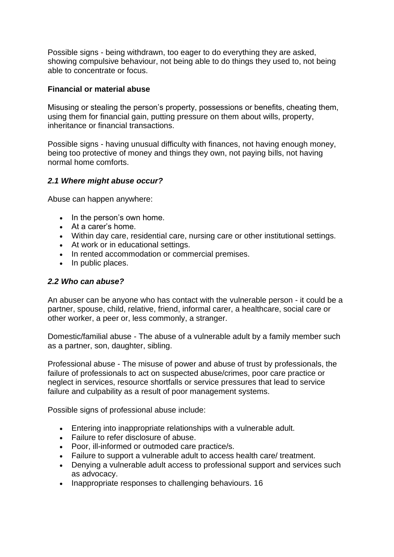Possible signs - being withdrawn, too eager to do everything they are asked, showing compulsive behaviour, not being able to do things they used to, not being able to concentrate or focus.

#### **Financial or material abuse**

Misusing or stealing the person's property, possessions or benefits, cheating them, using them for financial gain, putting pressure on them about wills, property, inheritance or financial transactions.

Possible signs - having unusual difficulty with finances, not having enough money, being too protective of money and things they own, not paying bills, not having normal home comforts.

## *2.1 Where might abuse occur?*

Abuse can happen anywhere:

- In the person's own home.
- At a carer's home.
- Within day care, residential care, nursing care or other institutional settings.
- At work or in educational settings.
- In rented accommodation or commercial premises.
- In public places.

#### *2.2 Who can abuse?*

An abuser can be anyone who has contact with the vulnerable person - it could be a partner, spouse, child, relative, friend, informal carer, a healthcare, social care or other worker, a peer or, less commonly, a stranger.

Domestic/familial abuse - The abuse of a vulnerable adult by a family member such as a partner, son, daughter, sibling.

Professional abuse - The misuse of power and abuse of trust by professionals, the failure of professionals to act on suspected abuse/crimes, poor care practice or neglect in services, resource shortfalls or service pressures that lead to service failure and culpability as a result of poor management systems.

Possible signs of professional abuse include:

- Entering into inappropriate relationships with a vulnerable adult.
- Failure to refer disclosure of abuse.
- Poor, ill-informed or outmoded care practice/s.
- Failure to support a vulnerable adult to access health care/ treatment.
- Denying a vulnerable adult access to professional support and services such as advocacy.
- Inappropriate responses to challenging behaviours. 16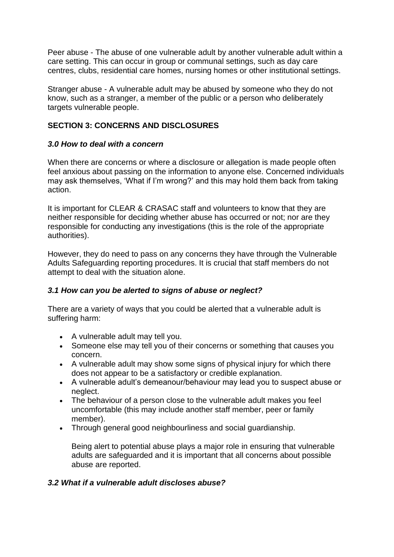Peer abuse - The abuse of one vulnerable adult by another vulnerable adult within a care setting. This can occur in group or communal settings, such as day care centres, clubs, residential care homes, nursing homes or other institutional settings.

Stranger abuse - A vulnerable adult may be abused by someone who they do not know, such as a stranger, a member of the public or a person who deliberately targets vulnerable people.

## **SECTION 3: CONCERNS AND DISCLOSURES**

#### *3.0 How to deal with a concern*

When there are concerns or where a disclosure or allegation is made people often feel anxious about passing on the information to anyone else. Concerned individuals may ask themselves, 'What if I'm wrong?' and this may hold them back from taking action.

It is important for CLEAR & CRASAC staff and volunteers to know that they are neither responsible for deciding whether abuse has occurred or not; nor are they responsible for conducting any investigations (this is the role of the appropriate authorities).

However, they do need to pass on any concerns they have through the Vulnerable Adults Safeguarding reporting procedures. It is crucial that staff members do not attempt to deal with the situation alone.

## *3.1 How can you be alerted to signs of abuse or neglect?*

There are a variety of ways that you could be alerted that a vulnerable adult is suffering harm:

- A vulnerable adult may tell you.
- Someone else may tell you of their concerns or something that causes you concern.
- A vulnerable adult may show some signs of physical injury for which there does not appear to be a satisfactory or credible explanation.
- A vulnerable adult's demeanour/behaviour may lead you to suspect abuse or neglect.
- The behaviour of a person close to the vulnerable adult makes you feel uncomfortable (this may include another staff member, peer or family member).
- Through general good neighbourliness and social guardianship.

Being alert to potential abuse plays a major role in ensuring that vulnerable adults are safeguarded and it is important that all concerns about possible abuse are reported.

## *3.2 What if a vulnerable adult discloses abuse?*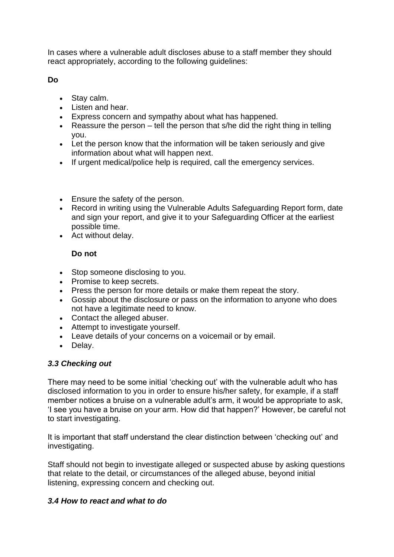In cases where a vulnerable adult discloses abuse to a staff member they should react appropriately, according to the following guidelines:

**Do** 

- Stay calm.
- Listen and hear.
- Express concern and sympathy about what has happened.
- Reassure the person tell the person that s/he did the right thing in telling you.
- Let the person know that the information will be taken seriously and give information about what will happen next.
- If urgent medical/police help is required, call the emergency services.
- Ensure the safety of the person.
- Record in writing using the Vulnerable Adults Safeguarding Report form, date and sign your report, and give it to your Safeguarding Officer at the earliest possible time.
- Act without delay.

# **Do not**

- Stop someone disclosing to you.
- Promise to keep secrets.
- Press the person for more details or make them repeat the story.
- Gossip about the disclosure or pass on the information to anyone who does not have a legitimate need to know.
- Contact the alleged abuser.
- Attempt to investigate yourself.
- Leave details of your concerns on a voicemail or by email.
- Delay.

# *3.3 Checking out*

There may need to be some initial 'checking out' with the vulnerable adult who has disclosed information to you in order to ensure his/her safety, for example, if a staff member notices a bruise on a vulnerable adult's arm, it would be appropriate to ask, 'I see you have a bruise on your arm. How did that happen?' However, be careful not to start investigating.

It is important that staff understand the clear distinction between 'checking out' and investigating.

Staff should not begin to investigate alleged or suspected abuse by asking questions that relate to the detail, or circumstances of the alleged abuse, beyond initial listening, expressing concern and checking out.

# *3.4 How to react and what to do*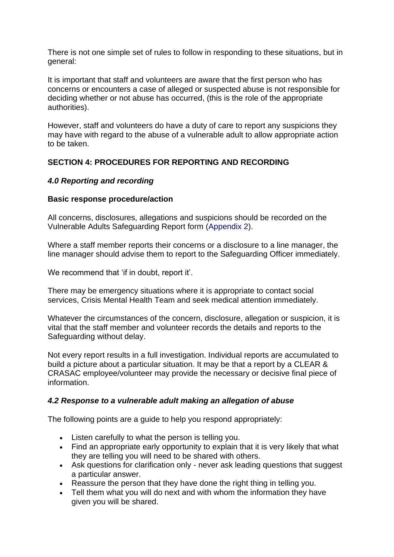There is not one simple set of rules to follow in responding to these situations, but in general:

It is important that staff and volunteers are aware that the first person who has concerns or encounters a case of alleged or suspected abuse is not responsible for deciding whether or not abuse has occurred, (this is the role of the appropriate authorities).

However, staff and volunteers do have a duty of care to report any suspicions they may have with regard to the abuse of a vulnerable adult to allow appropriate action to be taken.

## **SECTION 4: PROCEDURES FOR REPORTING AND RECORDING**

#### *4.0 Reporting and recording*

#### **Basic response procedure/action**

All concerns, disclosures, allegations and suspicions should be recorded on the Vulnerable Adults Safeguarding Report form (Appendix 2).

Where a staff member reports their concerns or a disclosure to a line manager, the line manager should advise them to report to the Safeguarding Officer immediately.

We recommend that 'if in doubt, report it'.

There may be emergency situations where it is appropriate to contact social services, Crisis Mental Health Team and seek medical attention immediately.

Whatever the circumstances of the concern, disclosure, allegation or suspicion, it is vital that the staff member and volunteer records the details and reports to the Safeguarding without delay.

Not every report results in a full investigation. Individual reports are accumulated to build a picture about a particular situation. It may be that a report by a CLEAR & CRASAC employee/volunteer may provide the necessary or decisive final piece of information.

#### *4.2 Response to a vulnerable adult making an allegation of abuse*

The following points are a guide to help you respond appropriately:

- Listen carefully to what the person is telling you.
- Find an appropriate early opportunity to explain that it is very likely that what they are telling you will need to be shared with others.
- Ask questions for clarification only never ask leading questions that suggest a particular answer.
- Reassure the person that they have done the right thing in telling you.
- Tell them what you will do next and with whom the information they have given you will be shared.